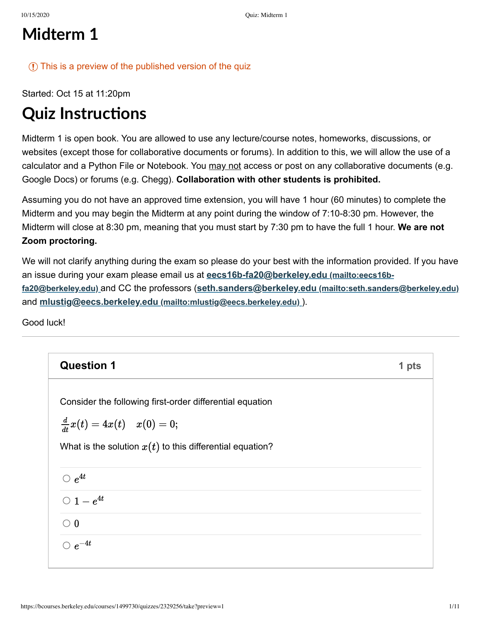## **Midterm 1**

#### $\Omega$  This is a preview of the published version of the quize

Started: Oct 15 at 11:20pm

# **Quiz Instructions**

Midterm 1 is open book. You are allowed to use any lecture/course notes, homeworks, discussions, or websites (except those for collaborative documents or forums). In addition to this, we will allow the use of a calculator and a Python File or Notebook. You may not access or post on any collaborative documents (e.g. Google Docs) or forums (e.g. Chegg). **Collaboration with other students is prohibited.**

Assuming you do not have an approved time extension, you will have 1 hour (60 minutes) to complete the Midterm and you may begin the Midterm at any point during the window of 7:10-8:30 pm. However, the Midterm will close at 8:30 pm, meaning that you must start by 7:30 pm to have the full 1 hour. **We are not Zoom proctoring.**

We will not clarify anything during the exam so please do your best with the information provided. If you have [an issue during your exam please email us at](mailto:eecs16b-fa20@berkeley.edu) **eecs16b-fa20@berkeley.edu (mailto:eecs16bfa20@berkeley.edu)** and CC the professors (**seth.sanders@berkeley.edu [\(mailto:seth.sanders@berkeley.edu\)](mailto:seth.sanders@berkeley.edu)** and **mlustig@eecs.berkeley.edu [\(mailto:mlustig@eecs.berkeley.edu\)](mailto:mlustig@eecs.berkeley.edu)** ).

Good luck!

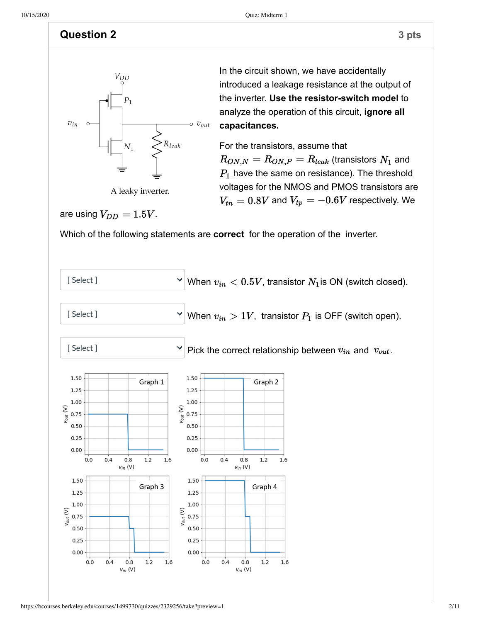#### **Question 2** 3 pts



A leaky inverter.

In the circuit shown, we have accidentally introduced a leakage resistance at the output of the inverter. **Use the resistor-switch model** to analyze the operation of this circuit, **ignore all capacitances.**

For the transistors, assume that  $R_{ON,N} = R_{ON,P} = R_{leak}$  (transistors  $N_1$  and  $P_1$  have the same on resistance). The threshold voltages for the NMOS and PMOS transistors are  $V_{tn} = 0.8V$  and  $V_{tp} = -0.6V$  respectively. We

are using  $V_{DD} = 1.5V$ .

Which of the following statements are **correct** for the operation of the inverter.

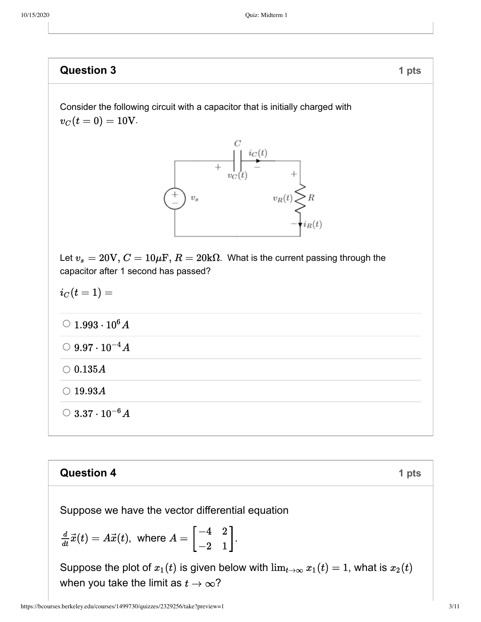**Question 3** 1 pts  
\nConsider the following circuit with a capacitor that is initially charged with  
\n
$$
v_C(t=0) = 10V
$$
.  
\n
$$
\begin{array}{ccc}\n&\downarrow & \downarrow & \downarrow \\
&\downarrow & \downarrow & \downarrow \\
& & & & \downarrow \\
& & & & & v_R(t) \le R \\
& & & & & v_R(t) \le R \\
& & & & & v_R(t) \le R \\
& & & & & & v_R(t) \le R \\
& & & & & & & v_R(t) \le R \\
& & & & & & & & v_R(t) \le R \\
& & & & & & & & v_R(t) \le R \\
& & & & & & & & v_R(t) \le R \\
& & & & & & & & v_R(t) \le R \\
& & & & & & & & v_R(t) \le R \\
& & & & & & & & v_R(t) \le R \\
& & & & & & & & v_R(t) \le R \\
& & & & & & & & v_R(t) \le R \\
& & & & & & & & v_R(t) \le R \\
& & & & & & & & v_R(t) \le R \\
& & & & & & & & v_R(t) \le R \\
& & & & & & & & v_R(t) \le R \\
& & & & & & & & v_R(t) \le R \\
& & & & & & & & v_R(t) \le R \\
& & & & & & & & v_R(t) \le R \\
& & & & & & & & v_R(t) \le R \\
& & & & & & & & v_R(t) \le R \\
& & & & & & & & v_R(t) \le R \\
& & & & & & & & v_R(t) \le R \\
& & & & & & & & v_R(t) \le R \\
& & & & & & & & v_R(t) \le R \\
& & & & & & & & v_R(t) \le R \\
& & & & & & & & v_R(t) \le R \\
& & & & & & & & v_R(t) \le R \\
& & & & & & & & v_R(t) \le R \\
& & & & & & & & v_R(t) \le R \\
& & & & & & & & v_R(t) \le R \\
& & & & & & & & v_R(t) \le R \\
& & & & & & & & v_R(t) \le R \\
& & & & & & & & v_R(t) \le R \\
& & & & & & & & v_R(t) \le R \\
& & & & & & & & v_R(t) \le R \\
& & & & & & & & v_R(t) \le R \\
& & & & & & & & & v_R(t) \le R \\
& & & & & & & & & v_R(t) \le R \\
& & & & & & & & & v_R(t) \le R \\
& & & & & & & & & v_R(t) \le R \\
& & & & &
$$

### **Question 4 1 pts**

Suppose we have the vector differential equation

$$
\frac{d}{dt}\vec{x}(t) = A\vec{x}(t), \text{ where } A = \begin{bmatrix} -4 & 2 \\ -2 & 1 \end{bmatrix}.
$$

Suppose the plot of  $x_1(t)$  is given below with  $\lim_{t\to\infty} x_1(t) = 1$ , what is  $x_2(t)$ when you take the limit as  $t \to \infty$ ?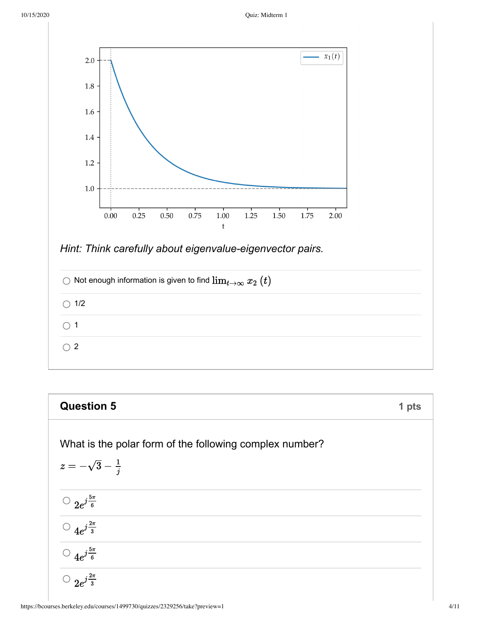

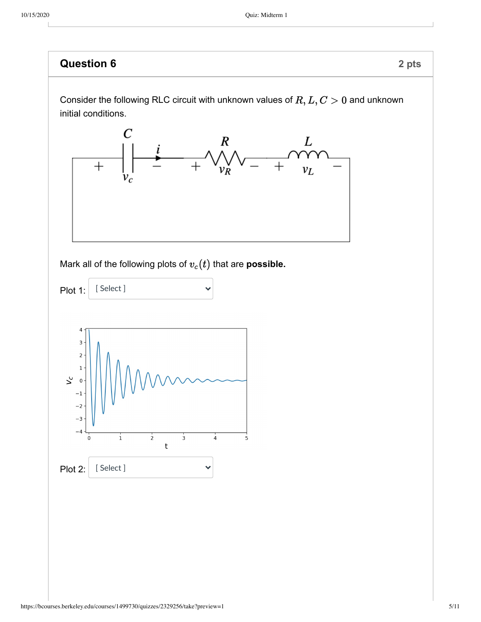

Consider the following RLC circuit with unknown values of  $R,L,C>0$  and unknown initial conditions.



Mark all of the following plots of  $v_c(t)$  that are **possible.** 

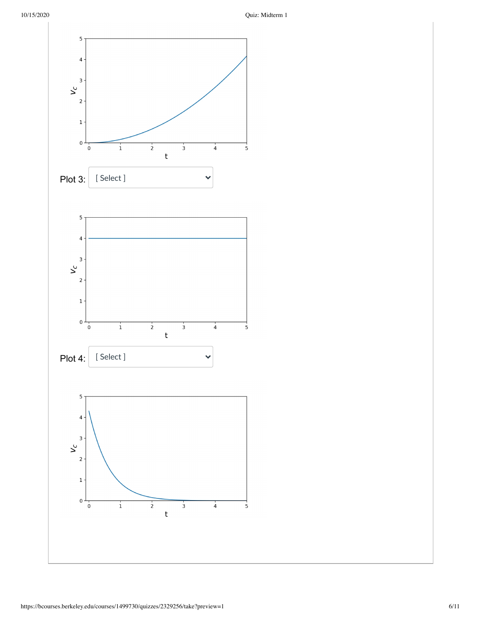10/15/2020 Quiz: Midterm 1

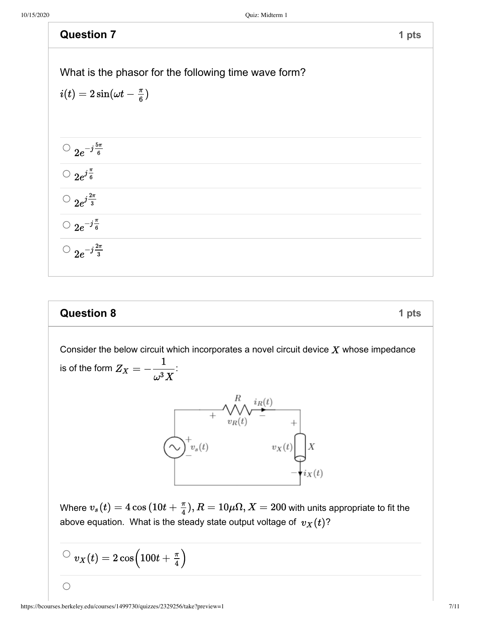| <b>Question 7</b>                                    | 1 pts |
|------------------------------------------------------|-------|
|                                                      |       |
| What is the phasor for the following time wave form? |       |
| $i(t)=2\sin(\omega t-\frac{\pi}{6})$                 |       |
|                                                      |       |
|                                                      |       |
| $\frac{1}{2}e^{-j\frac{5\pi}{6}}$                    |       |
| $\frac{Q}{2e^{j\frac{\pi}{6}}}$                      |       |
|                                                      |       |
| $\bigcirc$ 2 $e^{-j\frac{\pi}{6}}$                   |       |
| $\bigcirc$ $2e^{-j\frac{2\pi}{3}}$                   |       |

## **Question 8 1 pts**

Consider the below circuit which incorporates a novel circuit device  $X$  whose impedance is of the form  $Z_X = -\frac{1}{\omega^3 X}$ :  $\begin{picture}(120,110) \put(0,0){\line(1,0){150}} \put(15,0){\line(1,0){150}} \put(15,0){\line(1,0){150}} \put(15,0){\line(1,0){150}} \put(15,0){\line(1,0){150}} \put(15,0){\line(1,0){150}} \put(15,0){\line(1,0){150}} \put(15,0){\line(1,0){150}} \put(15,0){\line(1,0){150}} \put(15,0){\line(1,0){150}} \put(15,0){\line(1,0){150$ Where  $v_s(t) = 4 \cos(10t + \frac{\pi}{4}), R = 10 \mu\Omega, X = 200$  with units appropriate to fit the above equation. What is the steady state output voltage of  $v_X(t)$ ?  $\text{C}~v_X(t) = 2\cos\Bigl(100t+\frac{\pi}{4}\Bigr)$ 

https://bcourses.berkeley.edu/courses/1499730/quizzes/2329256/take?preview=1 7/11

 $\bigcirc$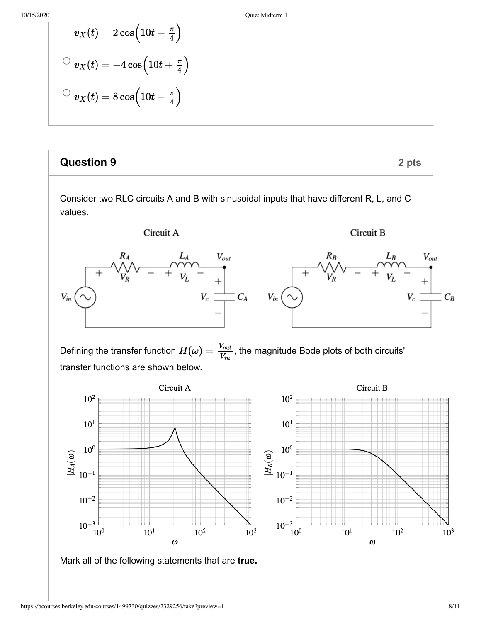10/15/2020 Quiz: Midterm 1

$$
v_X(t) = 2\cos\left(10t - \frac{\pi}{4}\right)
$$
  

$$
v_X(t) = -4\cos\left(10t + \frac{\pi}{4}\right)
$$
  

$$
v_X(t) = 8\cos\left(10t - \frac{\pi}{4}\right)
$$

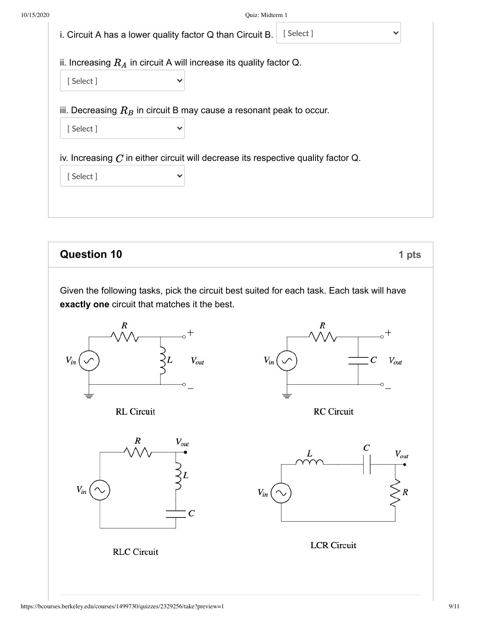|          | i. Circuit A has a lower quality factor Q than Circuit B.                                              | [Select] | v |
|----------|--------------------------------------------------------------------------------------------------------|----------|---|
|          | ii. Increasing $R_A$ in circuit A will increase its quality factor Q.                                  |          |   |
| [Select] | $\checkmark$                                                                                           |          |   |
|          | iii. Decreasing $R_B$ in circuit B may cause a resonant peak to occur.                                 |          |   |
| [Select] | $\checkmark$                                                                                           |          |   |
| [Select] | iv. Increasing $C$ in either circuit will decrease its respective quality factor $Q$ .<br>$\checkmark$ |          |   |
|          |                                                                                                        |          |   |
|          |                                                                                                        |          |   |

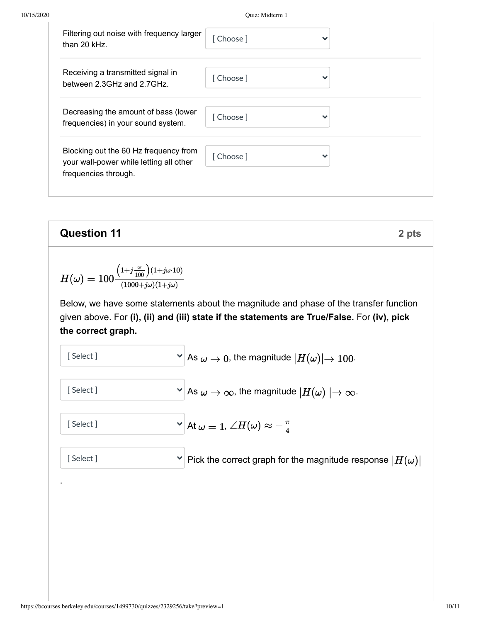10/15/2020 Quiz: Midterm 1

| Filtering out noise with frequency larger<br>than $20$ kHz.                                              | [Choose]   | v            |
|----------------------------------------------------------------------------------------------------------|------------|--------------|
| Receiving a transmitted signal in<br>between 2.3GHz and 2.7GHz.                                          | [Choose]   | $\checkmark$ |
| Decreasing the amount of bass (lower<br>frequencies) in your sound system.                               | [ Choose ] |              |
| Blocking out the 60 Hz frequency from<br>your wall-power while letting all other<br>frequencies through. | [Choose]   | v            |

| Question 11                                                                                                                                                                                          | 2 pts                                                             |
|------------------------------------------------------------------------------------------------------------------------------------------------------------------------------------------------------|-------------------------------------------------------------------|
| $H(\omega) = 100 \frac{(1+j\frac{\omega}{100}) (1+j\omega \cdot 10)}{(1000+j\omega)(1+j\omega)}$                                                                                                     | 2 e                                                               |
| Below, we have some statements about the magnitude and phase of the transfer function given above. For (i), (ii) and (iii) state if the statements are True/False. For (iv), pick the correct graph. |                                                                   |
| [Select]                                                                                                                                                                                             | As $\omega \to 0$ , the magnitude $ H(\omega)  \to 100$ .         |
| [Select]                                                                                                                                                                                             | As $\omega \to \infty$ , the magnitude $ H(\omega)  \to \infty$ . |
| [Select]                                                                                                                                                                                             | At $\omega = 1$ , $\angle H(\omega) \approx -\frac{\pi}{4}$       |
| [Select]                                                                                                                                                                                             | Pick the correct graph for the magnitude response $ H(\omega) $   |